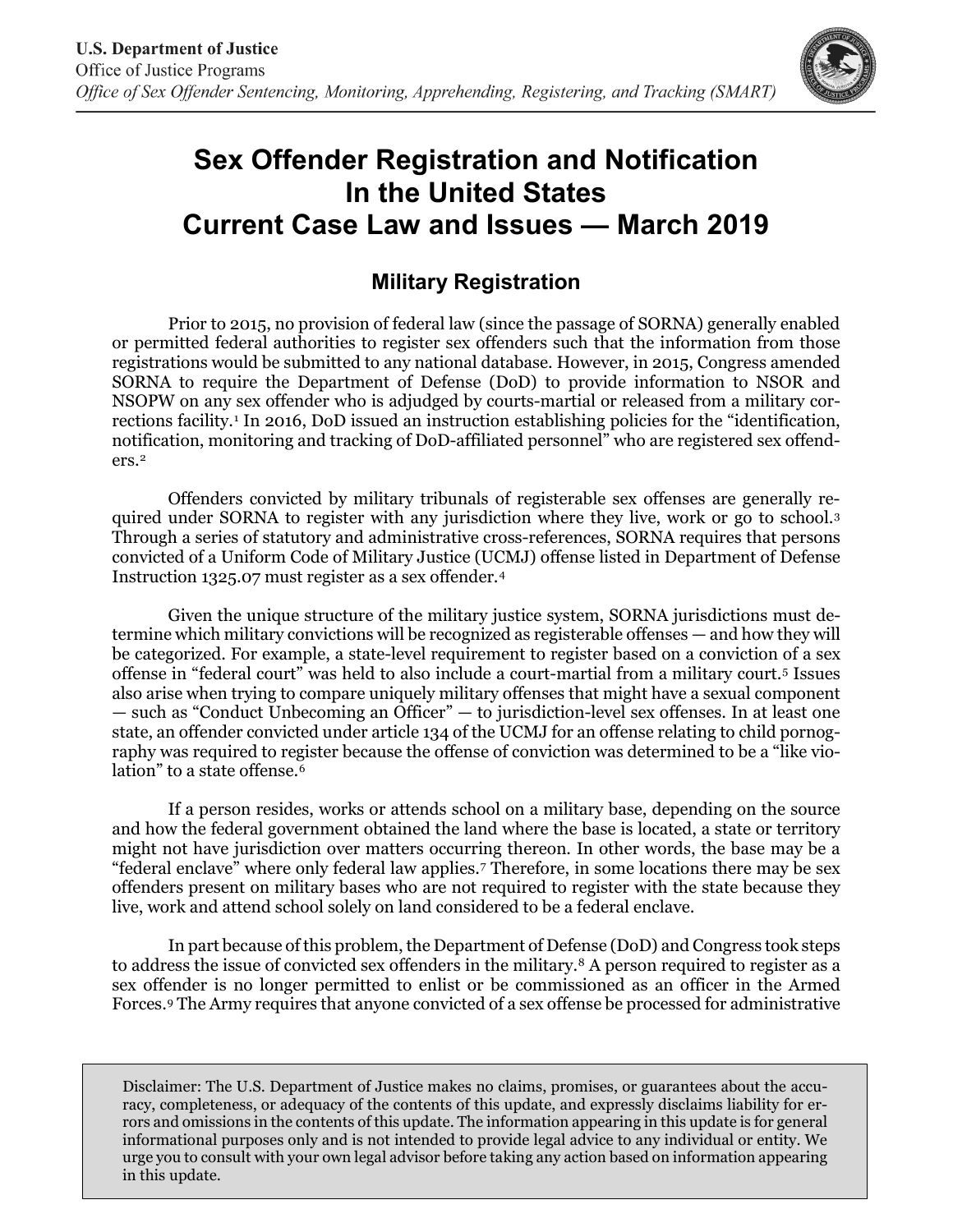

## **Sex Offender Registration and Notification In the United States Current Case Law and Issues — March 2019**

## **Military Registration**

Prior to 2015, no provision of federal law (since the passage of SORNA) generally enabled or permitted federal authorities to register sex offenders such that the information from those registrations would be submitted to any national database. However, in 2015, Congress amended SORNA to require the Department of Defense (DoD) to provide information to NSOR and NSOPW on any sex offender who is adjudged by courts-martial or released from a military cor-rections facility.<sup>[1](#page-1-0)</sup> In 2016, DoD issued an instruction establishing policies for the "identification, notification, monitoring and tracking of DoD-affiliated personnel" who are registered sex offenders.[2](#page-1-1)

Offenders convicted by military tribunals of registerable sex offenses are generally required under SORNA to register with any jurisdiction where they live, work or go to school.[3](#page-1-2) Through a series of statutory and administrative cross-references, SORNA requires that persons convicted of a Uniform Code of Military Justice (UCMJ) offense listed in Department of Defense Instruction 1325.07 must register as a sex offender.[4](#page-1-3)

Given the unique structure of the military justice system, SORNA jurisdictions must determine which military convictions will be recognized as registerable offenses — and how they will be categorized. For example, a state-level requirement to register based on a conviction of a sex offense in "federal court" was held to also include a court-martial from a military court.[5](#page-1-4) Issues also arise when trying to compare uniquely military offenses that might have a sexual component — such as "Conduct Unbecoming an Officer" — to jurisdiction-level sex offenses. In at least one state, an offender convicted under article 134 of the UCMJ for an offense relating to child pornography was required to register because the offense of conviction was determined to be a "like vio-lation" to a state offense.<sup>[6](#page-1-5)</sup>

If a person resides, works or attends school on a military base, depending on the source and how the federal government obtained the land where the base is located, a state or territory might not have jurisdiction over matters occurring thereon. In other words, the base may be a "federal enclave" where only federal law applies.[7](#page-1-6) Therefore, in some locations there may be sex offenders present on military bases who are not required to register with the state because they live, work and attend school solely on land considered to be a federal enclave.

In part because of this problem, the Department of Defense (DoD) and Congress took steps to address the issue of convicted sex offenders in the military.[8](#page-1-7) A person required to register as a sex offender is no longer permitted to enlist or be commissioned as an officer in the Armed Forces.[9](#page-1-8) The Army requires that anyone convicted of a sex offense be processed for administrative

Disclaimer: The U.S. Department of Justice makes no claims, promises, or guarantees about the accuracy, completeness, or adequacy of the contents of this update, and expressly disclaims liability for errors and omissions in the contents of this update. The information appearing in this update is for general informational purposes only and is not intended to provide legal advice to any individual or entity. We urge you to consult with your own legal advisor before taking any action based on information appearing in this update.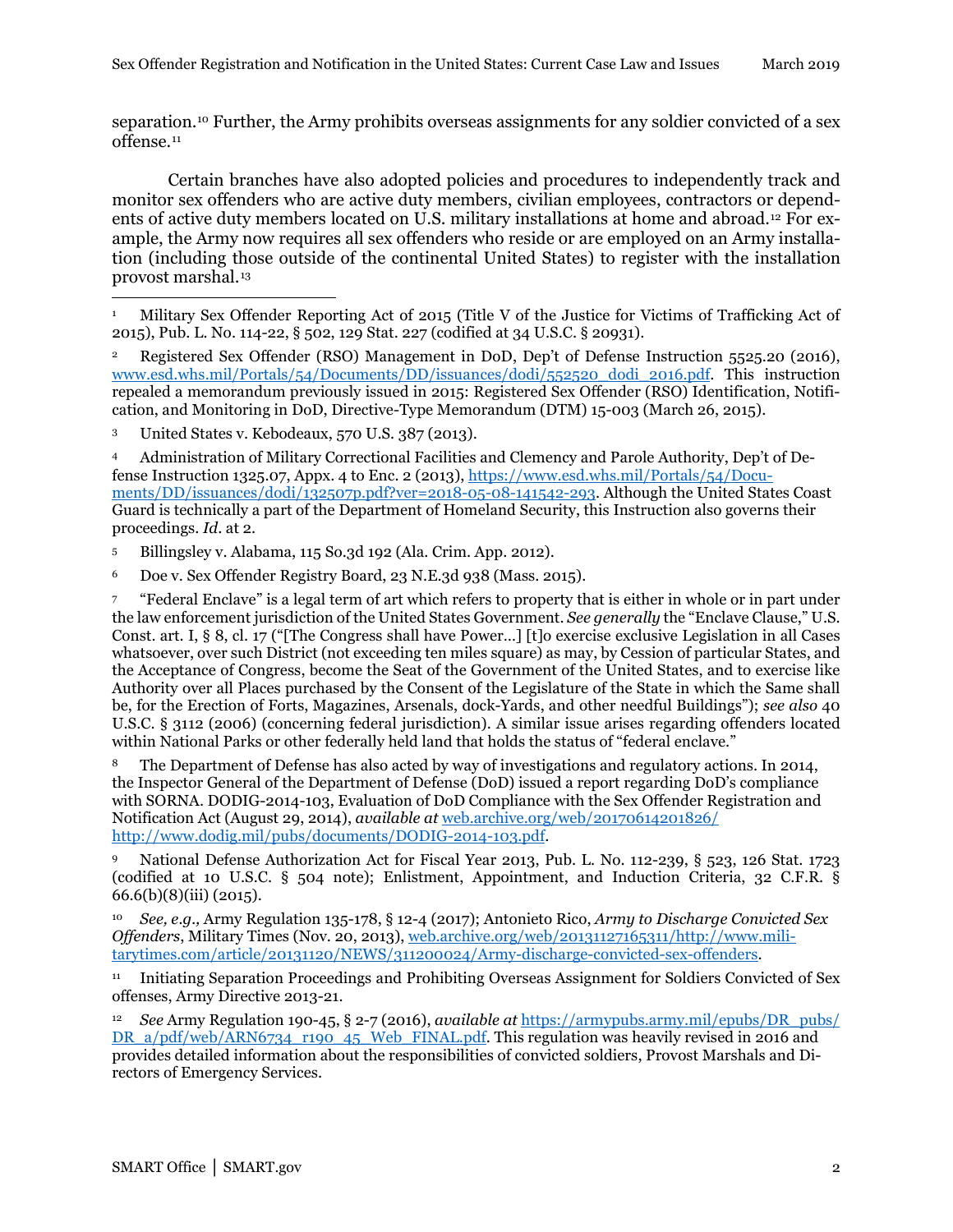separation.[10](#page-1-9) Further, the Army prohibits overseas assignments for any soldier convicted of a sex offense[.11](#page-1-10)

Certain branches have also adopted policies and procedures to independently track and monitor sex offenders who are active duty members, civilian employees, contractors or dependents of active duty members located on U.S. military installations at home and abroad.[12](#page-1-11) For example, the Army now requires all sex offenders who reside or are employed on an Army installation (including those outside of the continental United States) to register with the installation provost marshal.[13](#page-2-0)

<span id="page-1-2"></span><sup>3</sup> United States v. Kebodeaux, 570 U.S. 387 (2013).

<span id="page-1-3"></span><sup>4</sup> Administration of Military Correctional Facilities and Clemency and Parole Authority, Dep't of Defense Instruction 1325.07, Appx. 4 to Enc. 2 (2013), https://www.esd.whs.mil/Portals/54/Documents/DD/issuances/dodi/132507p.pdf?ver=2018-05-08-141542-293. Although the United States Coast Guard is technically a part of the Department of Homeland Security, this Instruction also governs their proceedings. *Id*. at 2.

<span id="page-1-4"></span><sup>5</sup> Billingsley v. Alabama, 115 So.3d 192 (Ala. Crim. App. 2012).

<span id="page-1-5"></span><sup>6</sup> Doe v. Sex Offender Registry Board, 23 N.E.3d 938 (Mass. 2015).

<span id="page-1-6"></span><sup>7</sup> "Federal Enclave" is a legal term of art which refers to property that is either in whole or in part under the law enforcement jurisdiction of the United States Government. *See generally* the "Enclave Clause," U.S. Const. art. I, § 8, cl. 17 ("[The Congress shall have Power…] [t]o exercise exclusive Legislation in all Cases whatsoever, over such District (not exceeding ten miles square) as may, by Cession of particular States, and the Acceptance of Congress, become the Seat of the Government of the United States, and to exercise like Authority over all Places purchased by the Consent of the Legislature of the State in which the Same shall be, for the Erection of Forts, Magazines, Arsenals, dock-Yards, and other needful Buildings"); *see also* 40 U.S.C. § 3112 (2006) (concerning federal jurisdiction). A similar issue arises regarding offenders located within National Parks or other federally held land that holds the status of "federal enclave."

<span id="page-1-7"></span><sup>8</sup> The Department of Defense has also acted by way of investigations and regulatory actions. In 2014, the Inspector General of the Department of Defense (DoD) issued a report regarding DoD's compliance with SORNA. DODIG-2014-103, Evaluation of DoD Compliance with the Sex Offender Registration and Notification Act (August 29, 2014), *available at* [web.archive.org/web/20170614201826/](https://web.archive.org/web/20170614201826/%20http:/www.dodig.mil/pubs/documents/DODIG-2014-103.pdf)  [http://www.dodig.mil/pubs/documents/DODIG-2014-103.pdf.](https://web.archive.org/web/20170614201826/%20http:/www.dodig.mil/pubs/documents/DODIG-2014-103.pdf)

<span id="page-1-8"></span><sup>9</sup> National Defense Authorization Act for Fiscal Year 2013, Pub. L. No. 112-239, § 523, 126 Stat. 1723 (codified at 10 U.S.C. § 504 note); Enlistment, Appointment, and Induction Criteria, 32 C.F.R. § 66.6(b)(8)(iii) (2015).

<span id="page-1-9"></span><sup>10</sup> *See, e.g.,* Army Regulation 135-178, § 12-4 (2017); Antonieto Rico, *Army to Discharge Convicted Sex Offenders*, Military Times (Nov. 20, 2013), [web.archive.org/web/20131127165311/http://www.mili](https://web.archive.org/web/20131127165311/http:/www.%0bmilitarytimes.com/article/20131120/NEWS/311200024/Army-discharge-convicted-sex-offenders)[tarytimes.com/article/20131120/NEWS/311200024/Army-discharge-convicted-sex-offenders.](https://web.archive.org/web/20131127165311/http:/www.%0bmilitarytimes.com/article/20131120/NEWS/311200024/Army-discharge-convicted-sex-offenders) 

<span id="page-1-10"></span><sup>11</sup> Initiating Separation Proceedings and Prohibiting Overseas Assignment for Soldiers Convicted of Sex offenses, Army Directive 2013-21.

<span id="page-1-11"></span><sup>12</sup> *See* Army Regulation 190-45, § 2-7 (2016), *available at* [https://armypubs.army.mil/epubs/DR\\_pubs/](https://armypubs.army.mil/epubs/DR_pubs/%20DR_a/pdf/web/ARN6734_r190_45_Web_FINAL.pdf)  [DR\\_a/pdf/web/ARN6734\\_r190\\_45\\_Web\\_FINAL.pdf.](https://armypubs.army.mil/epubs/DR_pubs/%20DR_a/pdf/web/ARN6734_r190_45_Web_FINAL.pdf) This regulation was heavily revised in 2016 and provides detailed information about the responsibilities of convicted soldiers, Provost Marshals and Directors of Emergency Services.

<span id="page-1-0"></span><sup>1</sup> Military Sex Offender Reporting Act of 2015 (Title V of the Justice for Victims of Trafficking Act of 2015), Pub. L. No. 114-22, § 502, 129 Stat. 227 (codified at 34 U.S.C. § 20931). 1

<span id="page-1-1"></span><sup>2</sup> Registered Sex Offender (RSO) Management in DoD, Dep't of Defense Instruction 5525.20 (2016), [www.esd.whs.mil/Portals/54/Documents/DD/issuances/dodi/552520\\_dodi\\_2016.pdf.](http://www.esd.whs.mil/Portals/54/Documents/DD/issuances/dodi/552520_dodi_2016.pdf) This instruction repealed a memorandum previously issued in 2015: Registered Sex Offender (RSO) Identification, Notification, and Monitoring in DoD, Directive-Type Memorandum (DTM) 15-003 (March 26, 2015).